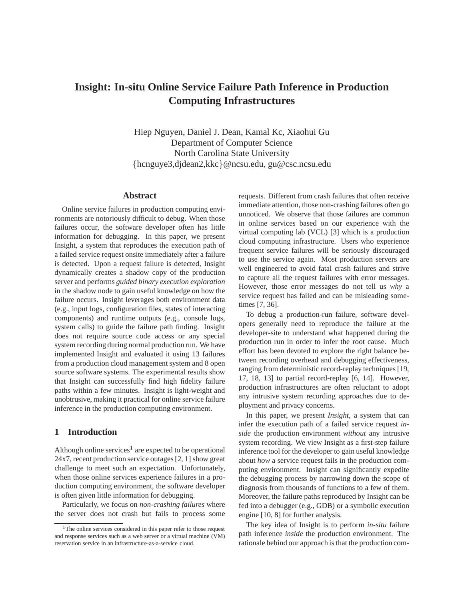# **Insight: In-situ Online Service Failure Path Inference in Production Computing Infrastructures**

Hiep Nguyen, Daniel J. Dean, Kamal Kc, Xiaohui Gu Department of Computer Science North Carolina State University {hcnguye3,djdean2,kkc}@ncsu.edu, gu@csc.ncsu.edu

# **Abstract**

Online service failures in production computing environments are notoriously difficult to debug. When those failures occur, the software developer often has little information for debugging. In this paper, we present Insight, a system that reproduces the execution path of a failed service request onsite immediately after a failure is detected. Upon a request failure is detected, Insight dynamically creates a shadow copy of the production server and performs *guided binary execution exploration* in the shadow node to gain useful knowledge on how the failure occurs. Insight leverages both environment data (e.g., input logs, configuration files, states of interacting components) and runtime outputs (e.g., console logs, system calls) to guide the failure path finding. Insight does not require source code access or any special system recording during normal production run. We have implemented Insight and evaluated it using 13 failures from a production cloud management system and 8 open source software systems. The experimental results show that Insight can successfully find high fidelity failure paths within a few minutes. Insight is light-weight and unobtrusive, making it practical for online service failure inference in the production computing environment.

## **1 Introduction**

Although online services<sup>1</sup> are expected to be operational 24x7, recent production service outages [2, 1] show great challenge to meet such an expectation. Unfortunately, when those online services experience failures in a production computing environment, the software developer is often given little information for debugging.

Particularly, we focus on *non-crashing failures* where the server does not crash but fails to process some requests. Different from crash failures that often receive immediate attention, those non-crashing failures often go unnoticed. We observe that those failures are common in online services based on our experience with the virtual computing lab (VCL) [3] which is a production cloud computing infrastructure. Users who experience frequent service failures will be seriously discouraged to use the service again. Most production servers are well engineered to avoid fatal crash failures and strive to capture all the request failures with error messages. However, those error messages do not tell us *why* a service request has failed and can be misleading sometimes [7, 36].

To debug a production-run failure, software developers generally need to reproduce the failure at the developer-site to understand what happened during the production run in order to infer the root cause. Much effort has been devoted to explore the right balance between recording overhead and debugging effectiveness, ranging from deterministic record-replay techniques [19, 17, 18, 13] to partial record-replay [6, 14]. However, production infrastructures are often reluctant to adopt any intrusive system recording approaches due to deployment and privacy concerns.

In this paper, we present *Insight*, a system that can infer the execution path of a failed service request *inside* the production environment *without* any intrusive system recording. We view Insight as a first-step failure inference tool for the developer to gain useful knowledge about *how* a service request fails in the production computing environment. Insight can significantly expedite the debugging process by narrowing down the scope of diagnosis from thousands of functions to a few of them. Moreover, the failure paths reproduced by Insight can be fed into a debugger (e.g., GDB) or a symbolic execution engine [10, 8] for further analysis.

The key idea of Insight is to perform *in-situ* failure path inference *inside* the production environment. The rationale behind our approach is that the production com-

<sup>&</sup>lt;sup>1</sup>The online services considered in this paper refer to those request and response services such as a web server or a virtual machine (VM) reservation service in an infrastructure-as-a-service cloud.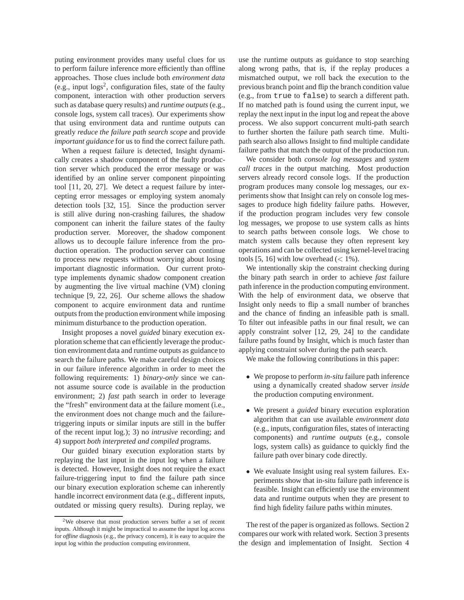puting environment provides many useful clues for us to perform failure inference more efficiently than offline approaches. Those clues include both *environment data* (e.g., input  $\log s^2$ , configuration files, state of the faulty component, interaction with other production servers such as database query results) and *runtime outputs* (e.g., console logs, system call traces). Our experiments show that using environment data and runtime outputs can greatly *reduce the failure path search scope* and provide *important guidance* for us to find the correct failure path.

When a request failure is detected, Insight dynamically creates a shadow component of the faulty production server which produced the error message or was identified by an online server component pinpointing tool [11, 20, 27]. We detect a request failure by intercepting error messages or employing system anomaly detection tools [32, 15]. Since the production server is still alive during non-crashing failures, the shadow component can inherit the failure states of the faulty production server. Moreover, the shadow component allows us to decouple failure inference from the production operation. The production server can continue to process new requests without worrying about losing important diagnostic information. Our current prototype implements dynamic shadow component creation by augmenting the live virtual machine (VM) cloning technique [9, 22, 26]. Our scheme allows the shadow component to acquire environment data and runtime outputs from the production environment while imposing minimum disturbance to the production operation.

Insight proposes a novel *guided* binary execution exploration scheme that can efficiently leverage the production environment data and runtime outputs as guidance to search the failure paths. We make careful design choices in our failure inference algorithm in order to meet the following requirements: 1) *binary-only* since we cannot assume source code is available in the production environment; 2) *fast* path search in order to leverage the "fresh" environment data at the failure moment (i.e., the environment does not change much and the failuretriggering inputs or similar inputs are still in the buffer of the recent input log.); 3) no *intrusive* recording; and 4) support *both interpreted and compiled* programs.

Our guided binary execution exploration starts by replaying the last input in the input log when a failure is detected. However, Insight does not require the exact failure-triggering input to find the failure path since our binary execution exploration scheme can inherently handle incorrect environment data (e.g., different inputs, outdated or missing query results). During replay, we use the runtime outputs as guidance to stop searching along wrong paths, that is, if the replay produces a mismatched output, we roll back the execution to the previous branch point and flip the branch condition value (e.g., from true to false) to search a different path. If no matched path is found using the current input, we replay the next input in the input log and repeat the above process. We also support concurrent multi-path search to further shorten the failure path search time. Multipath search also allows Insight to find multiple candidate failure paths that match the output of the production run.

We consider both *console log messages* and *system call traces* in the output matching. Most production servers already record console logs. If the production program produces many console log messages, our experiments show that Insight can rely on console log messages to produce high fidelity failure paths. However, if the production program includes very few console log messages, we propose to use system calls as hints to search paths between console logs. We chose to match system calls because they often represent key operations and can be collected using kernel-level tracing tools [5, 16] with low overhead  $(< 1\%)$ .

We intentionally skip the constraint checking during the binary path search in order to achieve *fast* failure path inference in the production computing environment. With the help of environment data, we observe that Insight only needs to flip a small number of branches and the chance of finding an infeasible path is small. To filter out infeasible paths in our final result, we can apply constraint solver [12, 29, 24] to the candidate failure paths found by Insight, which is much faster than applying constraint solver during the path search.

We make the following contributions in this paper:

- We propose to perform *in-situ* failure path inference using a dynamically created shadow server *inside* the production computing environment.
- We present a *guided* binary execution exploration algorithm that can use available *environment data* (e.g., inputs, configuration files, states of interacting components) and *runtime outputs* (e.g., console logs, system calls) as guidance to quickly find the failure path over binary code directly.
- We evaluate Insight using real system failures. Experiments show that in-situ failure path inference is feasible. Insight can efficiently use the environment data and runtime outputs when they are present to find high fidelity failure paths within minutes.

The rest of the paper is organized as follows. Section 2 compares our work with related work. Section 3 presents the design and implementation of Insight. Section 4

<sup>2</sup>We observe that most production servers buffer a set of recent inputs. Although it might be impractical to assume the input log access for *offline* diagnosis (e.g., the privacy concern), it is easy to acquire the input log within the production computing environment.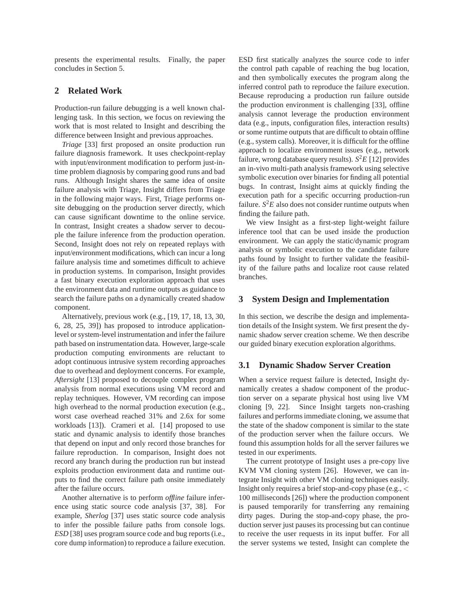presents the experimental results. Finally, the paper concludes in Section 5.

# **2 Related Work**

Production-run failure debugging is a well known challenging task. In this section, we focus on reviewing the work that is most related to Insight and describing the difference between Insight and previous approaches.

*Triage* [33] first proposed an onsite production run failure diagnosis framework. It uses checkpoint-replay with input/environment modification to perform just-intime problem diagnosis by comparing good runs and bad runs. Although Insight shares the same idea of onsite failure analysis with Triage, Insight differs from Triage in the following major ways. First, Triage performs onsite debugging on the production server directly, which can cause significant downtime to the online service. In contrast, Insight creates a shadow server to decouple the failure inference from the production operation. Second, Insight does not rely on repeated replays with input/environment modifications, which can incur a long failure analysis time and sometimes difficult to achieve in production systems. In comparison, Insight provides a fast binary execution exploration approach that uses the environment data and runtime outputs as guidance to search the failure paths on a dynamically created shadow component.

Alternatively, previous work (e.g., [19, 17, 18, 13, 30, 6, 28, 25, 39]) has proposed to introduce applicationlevel or system-level instrumentation and infer the failure path based on instrumentation data. However, large-scale production computing environments are reluctant to adopt continuous intrusive system recording approaches due to overhead and deployment concerns. For example, *Aftersight* [13] proposed to decouple complex program analysis from normal executions using VM record and replay techniques. However, VM recording can impose high overhead to the normal production execution (e.g., worst case overhead reached 31% and 2.6x for some workloads [13]). Crameri et al. [14] proposed to use static and dynamic analysis to identify those branches that depend on input and only record those branches for failure reproduction. In comparison, Insight does not record any branch during the production run but instead exploits production environment data and runtime outputs to find the correct failure path onsite immediately after the failure occurs.

Another alternative is to perform *offline* failure inference using static source code analysis [37, 38]. For example, *Sherlog* [37] uses static source code analysis to infer the possible failure paths from console logs. *ESD* [38] uses program source code and bug reports (i.e., core dump information) to reproduce a failure execution. ESD first statically analyzes the source code to infer the control path capable of reaching the bug location, and then symbolically executes the program along the inferred control path to reproduce the failure execution. Because reproducing a production run failure outside the production environment is challenging [33], offline analysis cannot leverage the production environment data (e.g., inputs, configuration files, interaction results) or some runtime outputs that are difficult to obtain offline (e.g., system calls). Moreover, it is difficult for the offline approach to localize environment issues (e.g., network failure, wrong database query results). *S* <sup>2</sup>*E* [12] provides an in-vivo multi-path analysis framework using selective symbolic execution over binaries for finding all potential bugs. In contrast, Insight aims at quickly finding the execution path for a specific occurring production-run failure.  $S^2E$  also does not consider runtime outputs when finding the failure path.

We view Insight as a first-step light-weight failure inference tool that can be used inside the production environment. We can apply the static/dynamic program analysis or symbolic execution to the candidate failure paths found by Insight to further validate the feasibility of the failure paths and localize root cause related branches.

#### **3 System Design and Implementation**

In this section, we describe the design and implementation details of the Insight system. We first present the dynamic shadow server creation scheme. We then describe our guided binary execution exploration algorithms.

#### **3.1 Dynamic Shadow Server Creation**

When a service request failure is detected, Insight dynamically creates a shadow component of the production server on a separate physical host using live VM cloning [9, 22]. Since Insight targets non-crashing failures and performs immediate cloning, we assume that the state of the shadow component is similar to the state of the production server when the failure occurs. We found this assumption holds for all the server failures we tested in our experiments.

The current prototype of Insight uses a pre-copy live KVM VM cloning system [26]. However, we can integrate Insight with other VM cloning techniques easily. Insight only requires a brief stop-and-copy phase (e.g., < 100 milliseconds [26]) where the production component is paused temporarily for transferring any remaining dirty pages. During the stop-and-copy phase, the production server just pauses its processing but can continue to receive the user requests in its input buffer. For all the server systems we tested, Insight can complete the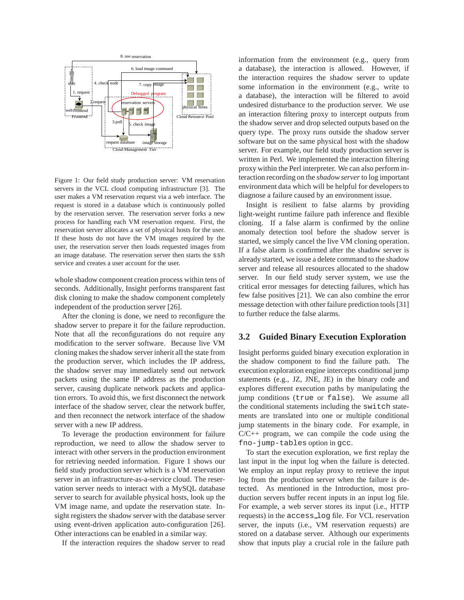

Figure 1: Our field study production server: VM reservation servers in the VCL cloud computing infrastructure [3]. The user makes a VM reservation request via a web interface. The request is stored in a database which is continuously polled by the reservation server. The reservation server forks a new process for handling each VM reservation request. First, the reservation server allocates a set of physical hosts for the user. If these hosts do not have the VM images required by the user, the reservation server then loads requested images from an image database. The reservation server then starts the ssh service and creates a user account for the user.

whole shadow component creation process within tens of seconds. Additionally, Insight performs transparent fast disk cloning to make the shadow component completely independent of the production server [26].

After the cloning is done, we need to reconfigure the shadow server to prepare it for the failure reproduction. Note that all the reconfigurations do not require any modification to the server software. Because live VM cloning makes the shadow server inherit all the state from the production server, which includes the IP address, the shadow server may immediately send out network packets using the same IP address as the production server, causing duplicate network packets and application errors. To avoid this, we first disconnect the network interface of the shadow server, clear the network buffer, and then reconnect the network interface of the shadow server with a new IP address.

To leverage the production environment for failure reproduction, we need to allow the shadow server to interact with other servers in the production environment for retrieving needed information. Figure 1 shows our field study production server which is a VM reservation server in an infrastructure-as-a-service cloud. The reservation server needs to interact with a MySQL database server to search for available physical hosts, look up the VM image name, and update the reservation state. Insight registers the shadow server with the database server using event-driven application auto-configuration [26]. Other interactions can be enabled in a similar way.

If the interaction requires the shadow server to read

information from the environment (e.g., query from a database), the interaction is allowed. However, if the interaction requires the shadow server to update some information in the environment (e.g., write to a database), the interaction will be filtered to avoid undesired disturbance to the production server. We use an interaction filtering proxy to intercept outputs from the shadow server and drop selected outputs based on the query type. The proxy runs outside the shadow server software but on the same physical host with the shadow server. For example, our field study production server is written in Perl. We implemented the interaction filtering proxy within the Perl interpreter. We can also perform interaction recording on the *shadow server* to log important environment data which will be helpful for developers to diagnose a failure caused by an environment issue.

Insight is resilient to false alarms by providing light-weight runtime failure path inference and flexible cloning. If a false alarm is confirmed by the online anomaly detection tool before the shadow server is started, we simply cancel the live VM cloning operation. If a false alarm is confirmed after the shadow server is already started, we issue a delete command to the shadow server and release all resources allocated to the shadow server. In our field study server system, we use the critical error messages for detecting failures, which has few false positives [21]. We can also combine the error message detection with other failure prediction tools [31] to further reduce the false alarms.

## **3.2 Guided Binary Execution Exploration**

Insight performs guided binary execution exploration in the shadow component to find the failure path. The execution exploration engine intercepts conditional jump statements (e.g., JZ, JNE, JE) in the binary code and explores different execution paths by manipulating the jump conditions (true or false). We assume all the conditional statements including the switch statements are translated into one or multiple conditional jump statements in the binary code. For example, in  $C/C++$  program, we can compile the code using the fno-jump-tables option in gcc.

To start the execution exploration, we first replay the last input in the input log when the failure is detected. We employ an input replay proxy to retrieve the input log from the production server when the failure is detected. As mentioned in the Introduction, most production servers buffer recent inputs in an input log file. For example, a web server stores its input (i.e., HTTP requests) in the access log file. For VCL reservation server, the inputs (i.e., VM reservation requests) are stored on a database server. Although our experiments show that inputs play a crucial role in the failure path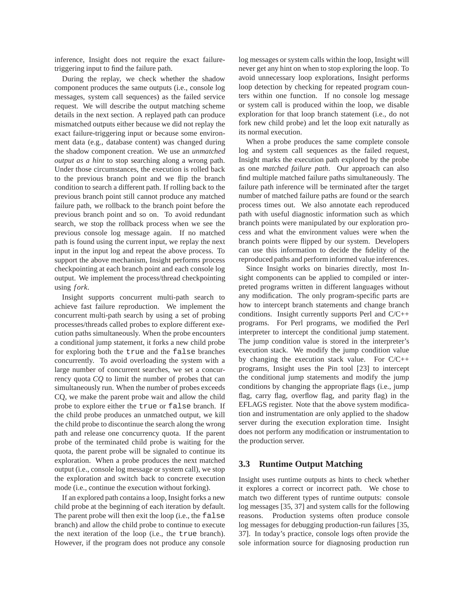inference, Insight does not require the exact failuretriggering input to find the failure path.

During the replay, we check whether the shadow component produces the same outputs (i.e., console log messages, system call sequences) as the failed service request. We will describe the output matching scheme details in the next section. A replayed path can produce mismatched outputs either because we did not replay the exact failure-triggering input or because some environment data (e.g., database content) was changed during the shadow component creation. We use an *unmatched output as a hint* to stop searching along a wrong path. Under those circumstances, the execution is rolled back to the previous branch point and we flip the branch condition to search a different path. If rolling back to the previous branch point still cannot produce any matched failure path, we rollback to the branch point before the previous branch point and so on. To avoid redundant search, we stop the rollback process when we see the previous console log message again. If no matched path is found using the current input, we replay the next input in the input log and repeat the above process. To support the above mechanism, Insight performs process checkpointing at each branch point and each console log output. We implement the process/thread checkpointing using *f ork*.

Insight supports concurrent multi-path search to achieve fast failure reproduction. We implement the concurrent multi-path search by using a set of probing processes/threads called probes to explore different execution paths simultaneously. When the probe encounters a conditional jump statement, it forks a new child probe for exploring both the true and the false branches concurrently. To avoid overloading the system with a large number of concurrent searches, we set a concurrency quota *CQ* to limit the number of probes that can simultaneously run. When the number of probes exceeds CQ, we make the parent probe wait and allow the child probe to explore either the true or false branch. If the child probe produces an unmatched output, we kill the child probe to discontinue the search along the wrong path and release one concurrency quota. If the parent probe of the terminated child probe is waiting for the quota, the parent probe will be signaled to continue its exploration. When a probe produces the next matched output (i.e., console log message or system call), we stop the exploration and switch back to concrete execution mode (i.e., continue the execution without forking).

If an explored path contains a loop, Insight forks a new child probe at the beginning of each iteration by default. The parent probe will then exit the loop (i.e., the false branch) and allow the child probe to continue to execute the next iteration of the loop (i.e., the true branch). However, if the program does not produce any console log messages or system calls within the loop, Insight will never get any hint on when to stop exploring the loop. To avoid unnecessary loop explorations, Insight performs loop detection by checking for repeated program counters within one function. If no console log message or system call is produced within the loop, we disable exploration for that loop branch statement (i.e., do not fork new child probe) and let the loop exit naturally as its normal execution.

When a probe produces the same complete console log and system call sequences as the failed request, Insight marks the execution path explored by the probe as one *matched failure path*. Our approach can also find multiple matched failure paths simultaneously. The failure path inference will be terminated after the target number of matched failure paths are found or the search process times out. We also annotate each reproduced path with useful diagnostic information such as which branch points were manipulated by our exploration process and what the environment values were when the branch points were flipped by our system. Developers can use this information to decide the fidelity of the reproduced paths and perform informed value inferences.

Since Insight works on binaries directly, most Insight components can be applied to compiled or interpreted programs written in different languages without any modification. The only program-specific parts are how to intercept branch statements and change branch conditions. Insight currently supports Perl and C/C++ programs. For Perl programs, we modified the Perl interpreter to intercept the conditional jump statement. The jump condition value is stored in the interpreter's execution stack. We modify the jump condition value by changing the execution stack value. For C/C++ programs, Insight uses the Pin tool [23] to intercept the conditional jump statements and modify the jump conditions by changing the appropriate flags (i.e., jump flag, carry flag, overflow flag, and parity flag) in the EFLAGS register. Note that the above system modification and instrumentation are only applied to the shadow server during the execution exploration time. Insight does not perform any modification or instrumentation to the production server.

### **3.3 Runtime Output Matching**

Insight uses runtime outputs as hints to check whether it explores a correct or incorrect path. We chose to match two different types of runtime outputs: console log messages [35, 37] and system calls for the following reasons. Production systems often produce console log messages for debugging production-run failures [35, 37]. In today's practice, console logs often provide the sole information source for diagnosing production run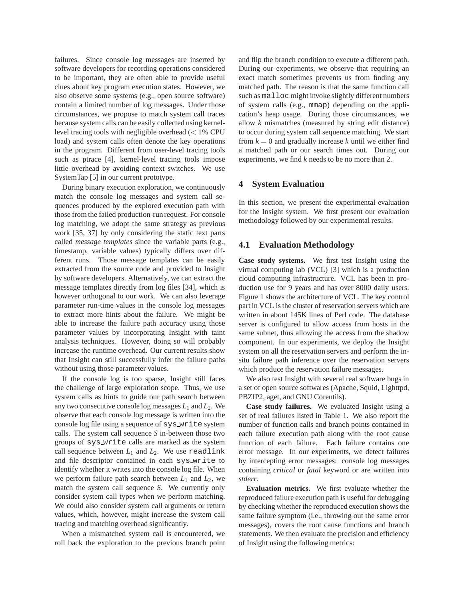failures. Since console log messages are inserted by software developers for recording operations considered to be important, they are often able to provide useful clues about key program execution states. However, we also observe some systems (e.g., open source software) contain a limited number of log messages. Under those circumstances, we propose to match system call traces because system calls can be easily collected using kernellevel tracing tools with negligible overhead (< 1% CPU load) and system calls often denote the key operations in the program. Different from user-level tracing tools such as ptrace [4], kernel-level tracing tools impose little overhead by avoiding context switches. We use SystemTap [5] in our current prototype.

During binary execution exploration, we continuously match the console log messages and system call sequences produced by the explored execution path with those from the failed production-run request. For console log matching, we adopt the same strategy as previous work [35, 37] by only considering the static text parts called *message templates* since the variable parts (e.g., timestamp, variable values) typically differs over different runs. Those message templates can be easily extracted from the source code and provided to Insight by software developers. Alternatively, we can extract the message templates directly from log files [34], which is however orthogonal to our work. We can also leverage parameter run-time values in the console log messages to extract more hints about the failure. We might be able to increase the failure path accuracy using those parameter values by incorporating Insight with taint analysis techniques. However, doing so will probably increase the runtime overhead. Our current results show that Insight can still successfully infer the failure paths without using those parameter values.

If the console log is too sparse, Insight still faces the challenge of large exploration scope. Thus, we use system calls as hints to guide our path search between any two consecutive console log messages *L*<sup>1</sup> and *L*2. We observe that each console log message is written into the console log file using a sequence of sys write system calls. The system call sequence *S* in-between those two groups of sys write calls are marked as the system call sequence between  $L_1$  and  $L_2$ . We use readlink and file descriptor contained in each sys write to identify whether it writes into the console log file. When we perform failure path search between  $L_1$  and  $L_2$ , we match the system call sequence *S*. We currently only consider system call types when we perform matching. We could also consider system call arguments or return values, which, however, might increase the system call tracing and matching overhead significantly.

When a mismatched system call is encountered, we roll back the exploration to the previous branch point and flip the branch condition to execute a different path. During our experiments, we observe that requiring an exact match sometimes prevents us from finding any matched path. The reason is that the same function call such as malloc might invoke slightly different numbers of system calls (e.g., mmap) depending on the application's heap usage. During those circumstances, we allow *k* mismatches (measured by string edit distance) to occur during system call sequence matching. We start from  $k = 0$  and gradually increase k until we either find a matched path or our search times out. During our experiments, we find *k* needs to be no more than 2.

### **4 System Evaluation**

In this section, we present the experimental evaluation for the Insight system. We first present our evaluation methodology followed by our experimental results.

#### **4.1 Evaluation Methodology**

**Case study systems.** We first test Insight using the virtual computing lab (VCL) [3] which is a production cloud computing infrastructure. VCL has been in production use for 9 years and has over 8000 daily users. Figure 1 shows the architecture of VCL. The key control part in VCL is the cluster of reservation servers which are written in about 145K lines of Perl code. The database server is configured to allow access from hosts in the same subnet, thus allowing the access from the shadow component. In our experiments, we deploy the Insight system on all the reservation servers and perform the insitu failure path inference over the reservation servers which produce the reservation failure messages.

We also test Insight with several real software bugs in a set of open source softwares (Apache, Squid, Lighttpd, PBZIP2, aget, and GNU Coreutils).

**Case study failures.** We evaluated Insight using a set of real failures listed in Table 1. We also report the number of function calls and branch points contained in each failure execution path along with the root cause function of each failure. Each failure contains one error message. In our experiments, we detect failures by intercepting error messages: console log messages containing *critical* or *fatal* keyword or are written into *stderr*.

**Evaluation metrics.** We first evaluate whether the reproduced failure execution path is useful for debugging by checking whether the reproduced execution shows the same failure symptom (i.e., throwing out the same error messages), covers the root cause functions and branch statements. We then evaluate the precision and efficiency of Insight using the following metrics: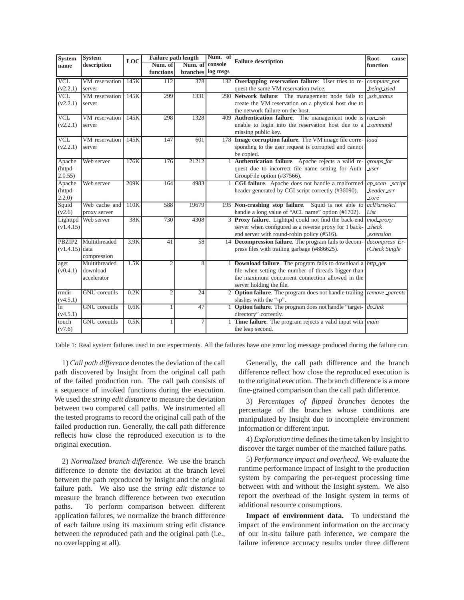| <b>System</b>           | <b>System</b><br>description | LOC  | <b>Failure path length</b> |                   | Num. of | <b>Failure description</b>                                                   | Root<br>cause  |
|-------------------------|------------------------------|------|----------------------------|-------------------|---------|------------------------------------------------------------------------------|----------------|
| name                    |                              |      | Num. of<br>Num. of         |                   | console |                                                                              | function       |
|                         |                              |      | functions                  | branches log msgs |         |                                                                              |                |
| <b>VCL</b>              | VM reservation               | 145K | 112                        | 378               |         | 132 Overlapping reservation failure: User tries to re-                       | computer_not   |
| (v2.2.1)                | server                       |      |                            |                   |         | quest the same VM reservation twice.                                         | being used     |
| $\overline{\text{VCL}}$ | VM reservation               | 145K | 299                        | 1331              |         | 290 Network failure: The management node fails to                            | ssh_status     |
| (v2.2.1)                | server                       |      |                            |                   |         | create the VM reservation on a physical host due to                          |                |
|                         |                              |      |                            |                   |         | the network failure on the host.                                             |                |
| <b>VCL</b>              | VM reservation               | 145K | 298                        | 1328              |         | 409 Authentication failure. The management node is $run\_ssh$                |                |
| (v2.2.1)                | server                       |      |                            |                   |         | unable to login into the reservation host due to a <i>command</i>            |                |
|                         |                              |      |                            |                   |         | missing public key.                                                          |                |
| <b>VCL</b>              | VM reservation               | 145K | 147                        | 601               |         | 178 Image corruption failure. The VM image file corre- load                  |                |
| (v2.2.1)                | server                       |      |                            |                   |         | sponding to the user request is corrupted and cannot                         |                |
|                         |                              |      |                            |                   |         | be copied.                                                                   |                |
| Apache                  | Web server                   | 176K | 176                        | 21212             |         | Authentication failure. Apache rejects a valid re-                           | groups_for     |
| (httpd-                 |                              |      |                            |                   |         | quest due to incorrect file name setting for Auth-<br><u>Luser</u>           |                |
| 2.0.55                  |                              |      |                            |                   |         | GroupFile option (#37566).                                                   |                |
| Apache                  | Web server                   | 209K | 164                        | 4983              |         | CGI failure. Apache does not handle a malformed                              | ap_scan_script |
| (httpd-                 |                              |      |                            |                   |         | header generated by CGI script correctly (#36090).                           | header_err     |
| 2.2.0)                  |                              |      |                            |                   |         |                                                                              | core           |
| Squid                   | Web cache and                | 110K | 588                        | 19679             |         | 195 Non-crashing stop failure. Squid is not able to                          | aclParseAcl    |
| (v2.6)                  | proxy server                 |      |                            |                   |         | handle a long value of "ACL name" option (#1702).                            | List           |
| Lighttpd                | Web server                   | 38K  | 730                        | 4308              |         | 3 Proxy failure. Lighttpd could not find the back-end                        | mod_proxy      |
| (v1.4.15)               |                              |      |                            |                   |         | server when configured as a reverse proxy for 1 back-                        | $_{check}$     |
|                         |                              |      |                            |                   |         | end server with round-robin policy (#516).                                   | extension      |
|                         | PBZIP2 Multithreaded         | 3.9K | 41                         | 58                |         | 14 Decompression failure. The program fails to decom-                        | decompress Er- |
| $(v1.4.15)$ data        |                              |      |                            |                   |         | press files with trailing garbage (#886625).                                 | rCheck Single  |
|                         | compression                  |      |                            |                   |         |                                                                              |                |
| aget                    | Multithreaded                | 1.5K | $\overline{2}$             | 8                 |         | <b>Download failure</b> . The program fails to download a http_get           |                |
| (v0.4.1)                | download                     |      |                            |                   |         | file when setting the number of threads bigger than                          |                |
|                         | accelerator                  |      |                            |                   |         | the maximum concurrent connection allowed in the                             |                |
|                         |                              |      |                            |                   |         | server holding the file.                                                     |                |
| rmdir                   | <b>GNU</b> coreutils         | 0.2K | $\overline{2}$             | $\overline{24}$   |         | 2 Option failure. The program does not handle trailing <i>remove parents</i> |                |
| (v4.5.1)                |                              |      |                            |                   |         | slashes with the "-p".                                                       |                |
| $\overline{\ln}$        | <b>GNU</b> coreutils         | 0.6K | $\mathbf{1}$               | 47                |         | <b>Option failure</b> . The program does not handle "target- do link"        |                |
| (v4.5.1)                |                              |      |                            |                   |         | directory" correctly.                                                        |                |
| touch                   | <b>GNU</b> coreutils         | 0.5K | $\mathbf{1}$               | 7                 |         | Time failure. The program rejects a valid input with <i>main</i>             |                |
| (v7.6)                  |                              |      |                            |                   |         | the leap second.                                                             |                |

Table 1: Real system failures used in our experiments. All the failures have one error log message produced during the failure run.

1) *Call path difference* denotes the deviation of the call path discovered by Insight from the original call path of the failed production run. The call path consists of a sequence of invoked functions during the execution. We used the *string edit distance* to measure the deviation between two compared call paths. We instrumented all the tested programs to record the original call path of the failed production run. Generally, the call path difference reflects how close the reproduced execution is to the original execution.

2) *Normalized branch difference*. We use the branch difference to denote the deviation at the branch level between the path reproduced by Insight and the original failure path. We also use the *string edit distance* to measure the branch difference between two execution paths. To perform comparison between different application failures, we normalize the branch difference of each failure using its maximum string edit distance between the reproduced path and the original path (i.e., no overlapping at all).

Generally, the call path difference and the branch difference reflect how close the reproduced execution is to the original execution. The branch difference is a more fine-grained comparison than the call path difference.

3) *Percentages of flipped branches* denotes the percentage of the branches whose conditions are manipulated by Insight due to incomplete environment information or different input.

4) *Exploration time* defines the time taken by Insight to discover the target number of the matched failure paths.

5) *Performance impact and overhead.* We evaluate the runtime performance impact of Insight to the production system by comparing the per-request processing time between with and without the Insight system. We also report the overhead of the Insight system in terms of additional resource consumptions.

**Impact of environment data.** To understand the impact of the environment information on the accuracy of our in-situ failure path inference, we compare the failure inference accuracy results under three different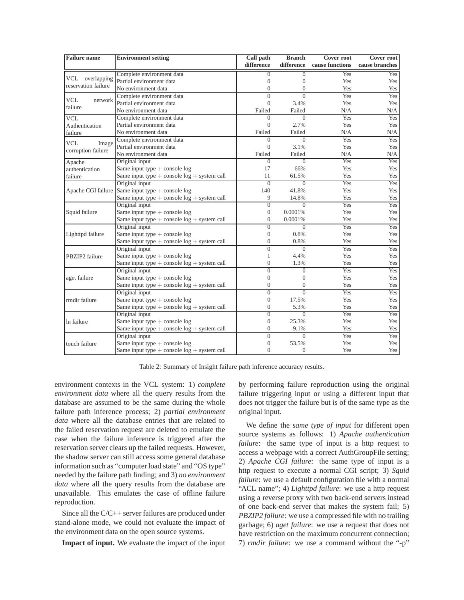| <b>Failure</b> name   | <b>Environment setting</b>                         | Call path        | <b>Branch</b>  | <b>Cover root</b> | <b>Cover root</b> |
|-----------------------|----------------------------------------------------|------------------|----------------|-------------------|-------------------|
|                       |                                                    | difference       | difference     | cause functions   | cause branches    |
|                       | Complete environment data                          | $\mathbf{0}$     | $\overline{0}$ | Yes               | Yes               |
| VCL overlapping       | Partial environment data                           | $\theta$         | $\overline{0}$ | Yes               | Yes               |
| reservation failure   | No environment data                                | $\mathbf{0}$     | $\overline{0}$ | Yes               | Yes               |
|                       | Complete environment data                          | $\overline{0}$   | $\theta$       | Yes               | Yes               |
| <b>VCL</b><br>network | Partial environment data                           | $\overline{0}$   | 3.4%           | Yes               | Yes               |
| failure               | No environment data                                | Failed           | Failed         | N/A               | N/A               |
| <b>VCL</b>            | Complete environment data                          | $\theta$         | $\theta$       | Yes               | Yes               |
| Authentication        | Partial environment data                           | $\Omega$         | 2.7%           | Yes               | Yes               |
| failure               | No environment data                                | Failed           | Failed         | N/A               | N/A               |
| <b>VCL</b>            | Complete environment data                          | $\Omega$         | $\Omega$       | Yes               | Yes               |
| Image                 | Partial environment data                           | $\overline{0}$   | 3.1%           | Yes               | Yes               |
| corruption failure    | No environment data                                | Failed           | Failed         | N/A               | N/A               |
| Apache                | Original input                                     | $\Omega$         | $\Omega$       | Yes               | Yes               |
| authentication        | Same input type $+$ console log                    | 17               | 66%            | Yes               | Yes               |
| failure               | Same input type $+$ console $log +$ system call    | 11               | 61.5%          | Yes               | Yes               |
|                       | Original input                                     | $\Omega$         | $\Omega$       | Yes               | Yes               |
|                       | Apache CGI failure Same input type $+$ console log | 140              | 41.8%          | Yes               | Yes               |
|                       | Same input type $+$ console $log +$ system call    | 9                | 14.8%          | Yes               | Yes               |
|                       | Original input                                     | $\overline{0}$   | $\overline{0}$ | Yes               | Yes               |
| Squid failure         | Same input type $+$ console log                    | $\mathbf{0}$     | 0.0001%        | Yes               | Yes               |
|                       | Same input type $+$ console $log +$ system call    | $\mathbf{0}$     | 0.0001%        | Yes               | Yes               |
|                       | Original input                                     | $\overline{0}$   | $\Omega$       | Yes               | Yes               |
| Lighttpd failure      | Same input type $+$ console log                    | $\mathbf{0}$     | 0.8%           | Yes               | Yes               |
|                       | Same input type $+$ console $log +$ system call    | $\mathbf{0}$     | 0.8%           | Yes               | Yes               |
|                       | Original input                                     | $\overline{0}$   | $\Omega$       | Yes               | Yes               |
| PBZIP2 failure        | Same input type $+$ console log                    | 1                | 4.4%           | Yes               | Yes               |
|                       | Same input type $+$ console $log +$ system call    | $\mathbf{0}$     | 1.3%           | Yes               | Yes               |
|                       | Original input                                     | $\overline{0}$   | $\overline{0}$ | Yes               | Yes               |
| aget failure          | Same input type $+$ console log                    | $\mathbf{0}$     | $\overline{0}$ | Yes               | Yes               |
|                       | Same input type $+$ console $log +$ system call    | $\overline{0}$   | $\overline{0}$ | Yes               | Yes               |
|                       | Original input                                     | $\overline{0}$   | $\overline{0}$ | Yes               | Yes               |
| rmdir failure         | Same input type $+$ console log                    | $\overline{0}$   | 17.5%          | Yes               | Yes               |
|                       | Same input type $+$ console $log +$ system call    | $\mathbf{0}$     | 5.3%           | Yes               | Yes               |
|                       | Original input                                     | $\theta$         | $\Omega$       | Yes               | Yes               |
| In failure            | Same input type $+$ console log                    | $\boldsymbol{0}$ | 25.3%          | Yes               | Yes               |
|                       | Same input type $+$ console $log +$ system call    | $\mathbf{0}$     | 9.1%           | Yes               | Yes               |
|                       | Original input                                     | $\overline{0}$   | $\Omega$       | Yes               | Yes               |
| touch failure         | Same input type $+$ console log                    | $\mathbf{0}$     | 53.5%          | Yes               | Yes               |
|                       | Same input type $+$ console $log +$ system call    | $\theta$         | $\overline{0}$ | Yes               | Yes               |

Table 2: Summary of Insight failure path inference accuracy results.

environment contexts in the VCL system: 1) *complete environment data* where all the query results from the database are assumed to be the same during the whole failure path inference process; 2) *partial environment data* where all the database entries that are related to the failed reservation request are deleted to emulate the case when the failure inference is triggered after the reservation server clears up the failed requests. However, the shadow server can still access some general database information such as "computer load state" and "OS type" needed by the failure path finding; and 3) *no environment data* where all the query results from the database are unavailable. This emulates the case of offline failure reproduction.

Since all the C/C++ server failures are produced under stand-alone mode, we could not evaluate the impact of the environment data on the open source systems.

**Impact of input.** We evaluate the impact of the input

by performing failure reproduction using the original failure triggering input or using a different input that does not trigger the failure but is of the same type as the original input.

We define the *same type of input* for different open source systems as follows: 1) *Apache authentication failure*: the same type of input is a http request to access a webpage with a correct AuthGroupFile setting; 2) *Apache CGI failure*: the same type of input is a http request to execute a normal CGI script; 3) *Squid failure*: we use a default configuration file with a normal "ACL name"; 4) *Lighttpd failure*: we use a http request using a reverse proxy with two back-end servers instead of one back-end server that makes the system fail; 5) *PBZIP2 failure*: we use a compressed file with no trailing garbage; 6) *aget failure*: we use a request that does not have restriction on the maximum concurrent connection; 7) *rmdir failure*: we use a command without the "-p"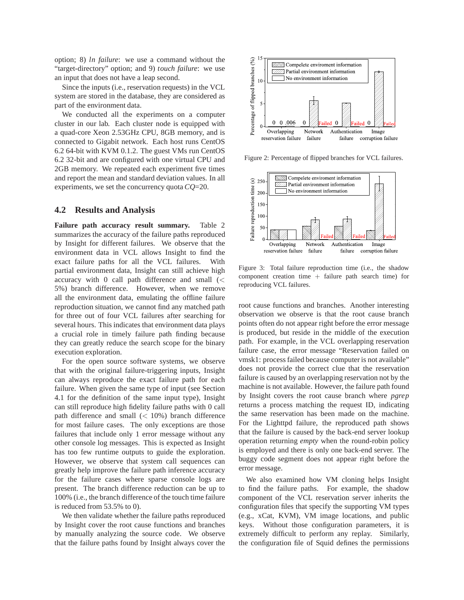option; 8) *ln failure*: we use a command without the "target-directory" option; and 9) *touch failure*: we use an input that does not have a leap second.

Since the inputs (i.e., reservation requests) in the VCL system are stored in the database, they are considered as part of the environment data.

We conducted all the experiments on a computer cluster in our lab. Each cluster node is equipped with a quad-core Xeon 2.53GHz CPU, 8GB memory, and is connected to Gigabit network. Each host runs CentOS 6.2 64-bit with KVM 0.1.2. The guest VMs run CentOS 6.2 32-bit and are configured with one virtual CPU and 2GB memory. We repeated each experiment five times and report the mean and standard deviation values. In all experiments, we set the concurrency quota *CQ*=20.

#### **4.2 Results and Analysis**

**Failure path accuracy result summary.** Table 2 summarizes the accuracy of the failure paths reproduced by Insight for different failures. We observe that the environment data in VCL allows Insight to find the exact failure paths for all the VCL failures. With partial environment data, Insight can still achieve high accuracy with  $0$  call path difference and small  $\ll$ 5%) branch difference. However, when we remove all the environment data, emulating the offline failure reproduction situation, we cannot find any matched path for three out of four VCL failures after searching for several hours. This indicates that environment data plays a crucial role in timely failure path finding because they can greatly reduce the search scope for the binary execution exploration.

For the open source software systems, we observe that with the original failure-triggering inputs, Insight can always reproduce the exact failure path for each failure. When given the same type of input (see Section 4.1 for the definition of the same input type), Insight can still reproduce high fidelity failure paths with 0 call path difference and small  $(< 10\%)$  branch difference for most failure cases. The only exceptions are those failures that include only 1 error message without any other console log messages. This is expected as Insight has too few runtime outputs to guide the exploration. However, we observe that system call sequences can greatly help improve the failure path inference accuracy for the failure cases where sparse console logs are present. The branch difference reduction can be up to 100% (i.e., the branch difference of the touch time failure is reduced from 53.5% to 0).

We then validate whether the failure paths reproduced by Insight cover the root cause functions and branches by manually analyzing the source code. We observe that the failure paths found by Insight always cover the



Figure 2: Percentage of flipped branches for VCL failures.



Figure 3: Total failure reproduction time (i.e., the shadow component creation time  $+$  failure path search time) for reproducing VCL failures.

root cause functions and branches. Another interesting observation we observe is that the root cause branch points often do not appear right before the error message is produced, but reside in the middle of the execution path. For example, in the VCL overlapping reservation failure case, the error message "Reservation failed on vmsk1: process failed because computer is not available" does not provide the correct clue that the reservation failure is caused by an overlapping reservation not by the machine is not available. However, the failure path found by Insight covers the root cause branch where *pgrep* returns a process matching the request ID, indicating the same reservation has been made on the machine. For the Lighttpd failure, the reproduced path shows that the failure is caused by the back-end server lookup operation returning *empty* when the round-robin policy is employed and there is only one back-end server. The buggy code segment does not appear right before the error message.

We also examined how VM cloning helps Insight to find the failure paths. For example, the shadow component of the VCL reservation server inherits the configuration files that specify the supporting VM types (e.g., xCat, KVM), VM image locations, and public keys. Without those configuration parameters, it is extremely difficult to perform any replay. Similarly, the configuration file of Squid defines the permissions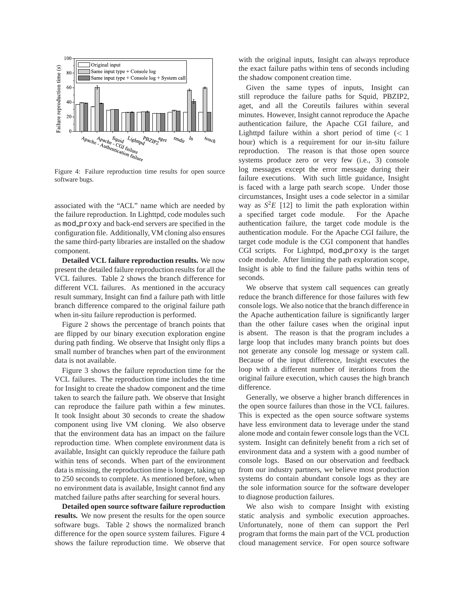

Figure 4: Failure reproduction time results for open source software bugs.

associated with the "ACL" name which are needed by the failure reproduction. In Lighttpd, code modules such as mod proxy and back-end servers are specified in the configuration file. Additionally, VM cloning also ensures the same third-party libraries are installed on the shadow component.

**Detailed VCL failure reproduction results.** We now present the detailed failure reproduction results for all the VCL failures. Table 2 shows the branch difference for different VCL failures. As mentioned in the accuracy result summary, Insight can find a failure path with little branch difference compared to the original failure path when in-situ failure reproduction is performed.

Figure 2 shows the percentage of branch points that are flipped by our binary execution exploration engine during path finding. We observe that Insight only flips a small number of branches when part of the environment data is not available.

Figure 3 shows the failure reproduction time for the VCL failures. The reproduction time includes the time for Insight to create the shadow component and the time taken to search the failure path. We observe that Insight can reproduce the failure path within a few minutes. It took Insight about 30 seconds to create the shadow component using live VM cloning. We also observe that the environment data has an impact on the failure reproduction time. When complete environment data is available, Insight can quickly reproduce the failure path within tens of seconds. When part of the environment data is missing, the reproduction time is longer, taking up to 250 seconds to complete. As mentioned before, when no environment data is available, Insight cannot find any matched failure paths after searching for several hours.

**Detailed open source software failure reproduction results.** We now present the results for the open source software bugs. Table 2 shows the normalized branch difference for the open source system failures. Figure 4 shows the failure reproduction time. We observe that with the original inputs, Insight can always reproduce the exact failure paths within tens of seconds including the shadow component creation time.

Given the same types of inputs, Insight can still reproduce the failure paths for Squid, PBZIP2, aget, and all the Coreutils failures within several minutes. However, Insight cannot reproduce the Apache authentication failure, the Apache CGI failure, and Lighttpd failure within a short period of time  $(< 1$ hour) which is a requirement for our in-situ failure reproduction. The reason is that those open source systems produce zero or very few (i.e., 3) console log messages except the error message during their failure executions. With such little guidance, Insight is faced with a large path search scope. Under those circumstances, Insight uses a code selector in a similar way as  $S^2E$  [12] to limit the path exploration within a specified target code module. For the Apache authentication failure, the target code module is the authentication module. For the Apache CGI failure, the target code module is the CGI component that handles CGI scripts. For Lighttpd, mod\_proxy is the target code module. After limiting the path exploration scope, Insight is able to find the failure paths within tens of seconds.

We observe that system call sequences can greatly reduce the branch difference for those failures with few console logs. We also notice that the branch difference in the Apache authentication failure is significantly larger than the other failure cases when the original input is absent. The reason is that the program includes a large loop that includes many branch points but does not generate any console log message or system call. Because of the input difference, Insight executes the loop with a different number of iterations from the original failure execution, which causes the high branch difference.

Generally, we observe a higher branch differences in the open source failures than those in the VCL failures. This is expected as the open source software systems have less environment data to leverage under the stand alone mode and contain fewer console logs than the VCL system. Insight can definitely benefit from a rich set of environment data and a system with a good number of console logs. Based on our observation and feedback from our industry partners, we believe most production systems do contain abundant console logs as they are the sole information source for the software developer to diagnose production failures.

We also wish to compare Insight with existing static analysis and symbolic execution approaches. Unfortunately, none of them can support the Perl program that forms the main part of the VCL production cloud management service. For open source software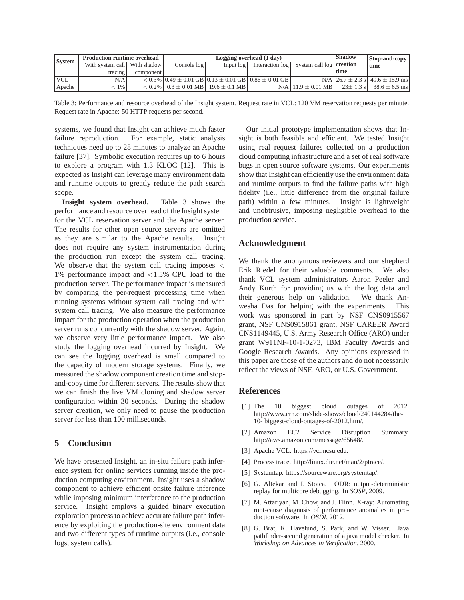| <b>System</b> | <b>Production runtime overhead</b> |           | Logging overhead (1 day)                          |             |                                                                          |                                          | <b>Shadow</b>  | Stop-and-copy                             |
|---------------|------------------------------------|-----------|---------------------------------------------------|-------------|--------------------------------------------------------------------------|------------------------------------------|----------------|-------------------------------------------|
|               | With system call   With shadow     |           | Console log                                       | Input $log$ |                                                                          | Interaction log System call log creation |                | time                                      |
|               | tracing                            | component |                                                   |             |                                                                          |                                          | time           |                                           |
| <b>VCL</b>    | N/A                                |           |                                                   |             | $< 0.3\%$   0.49 $\pm$ 0.01 GB   0.13 $\pm$ 0.01 GB   0.86 $\pm$ 0.01 GB |                                          |                | $N/A$ 26.7 $\pm$ 2.3 s 49.6 $\pm$ 15.9 ms |
| Apache        | $1\%$                              |           | $< 0.2\%$   0.3 $\pm$ 0.01 MB   19.6 $\pm$ 0.1 MB |             |                                                                          | $N/A$ 11.9 $\pm$ 0.01 MB                 | $23 \pm 1.3$ s | $38.6 \pm 6.5$ ms                         |

Table 3: Performance and resource overhead of the Insight system. Request rate in VCL: 120 VM reservation requests per minute. Request rate in Apache: 50 HTTP requests per second.

systems, we found that Insight can achieve much faster failure reproduction. For example, static analysis techniques need up to 28 minutes to analyze an Apache failure [37]. Symbolic execution requires up to 6 hours to explore a program with 1.3 KLOC [12]. This is expected as Insight can leverage many environment data and runtime outputs to greatly reduce the path search scope.

**Insight system overhead.** Table 3 shows the performance and resource overhead of the Insight system for the VCL reservation server and the Apache server. The results for other open source servers are omitted as they are similar to the Apache results. Insight does not require any system instrumentation during the production run except the system call tracing. We observe that the system call tracing imposes  $\lt$ 1% performance impact and <1.5% CPU load to the production server. The performance impact is measured by comparing the per-request processing time when running systems without system call tracing and with system call tracing. We also measure the performance impact for the production operation when the production server runs concurrently with the shadow server. Again, we observe very little performance impact. We also study the logging overhead incurred by Insight. We can see the logging overhead is small compared to the capacity of modern storage systems. Finally, we measured the shadow component creation time and stopand-copy time for different servers. The results show that we can finish the live VM cloning and shadow server configuration within 30 seconds. During the shadow server creation, we only need to pause the production server for less than 100 milliseconds.

# **5 Conclusion**

We have presented Insight, an in-situ failure path inference system for online services running inside the production computing environment. Insight uses a shadow component to achieve efficient onsite failure inference while imposing minimum interference to the production service. Insight employs a guided binary execution exploration process to achieve accurate failure path inference by exploiting the production-site environment data and two different types of runtime outputs (i.e., console logs, system calls).

Our initial prototype implementation shows that Insight is both feasible and efficient. We tested Insight using real request failures collected on a production cloud computing infrastructure and a set of real software bugs in open source software systems. Our experiments show that Insight can efficiently use the environment data and runtime outputs to find the failure paths with high fidelity (i.e., little difference from the original failure path) within a few minutes. Insight is lightweight and unobtrusive, imposing negligible overhead to the production service.

# **Acknowledgment**

We thank the anonymous reviewers and our shepherd Erik Riedel for their valuable comments. We also thank VCL system administrators Aaron Peeler and Andy Kurth for providing us with the log data and their generous help on validation. We thank Anwesha Das for helping with the experiments. This work was sponsored in part by NSF CNS0915567 grant, NSF CNS0915861 grant, NSF CAREER Award CNS1149445, U.S. Army Research Office (ARO) under grant W911NF-10-1-0273, IBM Faculty Awards and Google Research Awards. Any opinions expressed in this paper are those of the authors and do not necessarily reflect the views of NSF, ARO, or U.S. Government.

#### **References**

- [1] The 10 biggest cloud outages of 2012. http://www.crn.com/slide-shows/cloud/240144284/the-10- biggest-cloud-outages-of-2012.htm/.
- [2] Amazon EC2 Service Disruption Summary. http://aws.amazon.com/message/65648/.
- [3] Apache VCL. https://vcl.ncsu.edu.
- [4] Process trace. http://linux.die.net/man/2/ptrace/.
- [5] Systemtap. https://sourceware.org/systemtap/.
- [6] G. Altekar and I. Stoica. ODR: output-deterministic replay for multicore debugging. In *SOSP*, 2009.
- [7] M. Attariyan, M. Chow, and J. Flinn. X-ray: Automating root-cause diagnosis of performance anomalies in production software. In *OSDI*, 2012.
- [8] G. Brat, K. Havelund, S. Park, and W. Visser. Java pathfinder-second generation of a java model checker. In *Workshop on Advances in Verification*, 2000.